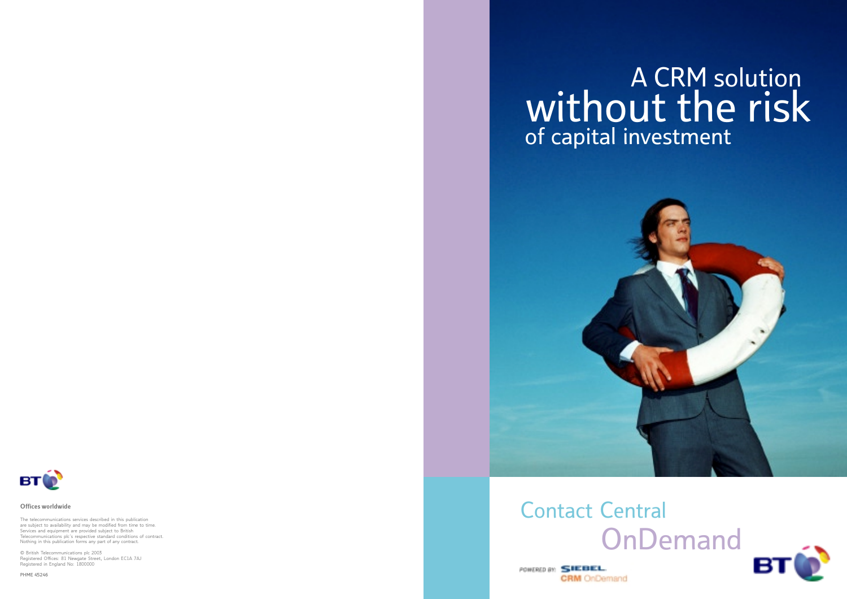# A CRM solution without the risk of capital investment



# **OnDemand** Contact Central



POWERED BY: SIEBEL. **CRM** OnDemand



#### Offices worldwide

The telecommunications services described in this publication are subject to availability and may be modified from time to time Services and equipment are provided subject to British Telecommunications plc's respective standard conditions of contract. Nothing in this publication forms any part of any contract.

© British Telecommunications plc 2003 Registered Offices: 81 Newgate Street, London EC1A 7AJ Registered in England No: 1800000

PHME 45246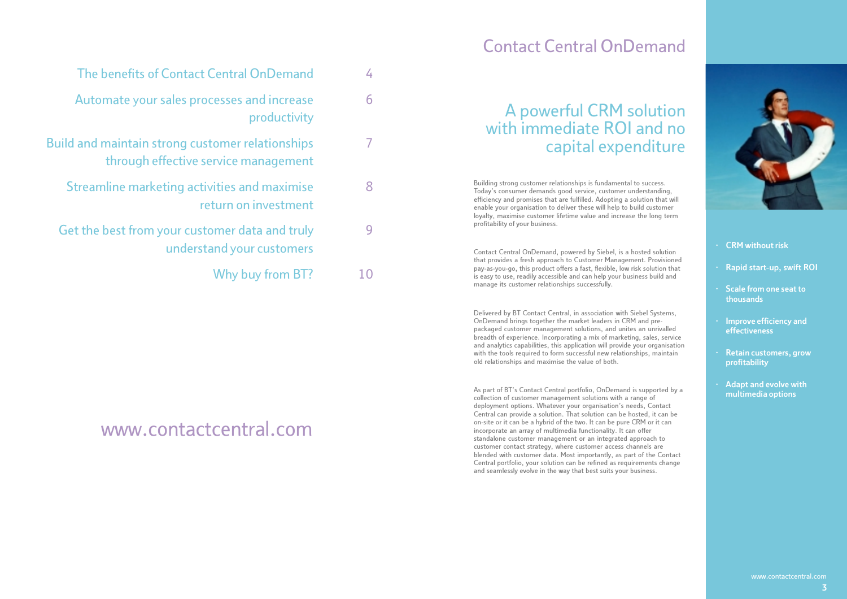# Contact Central OnDemand

| A powerful CRM solution   |
|---------------------------|
| with immediate ROI and no |
| capital expenditure       |

Building strong customer relationships is fundamental to success. Today's consumer demands good service, customer understanding, efficiency and promises that are fulfilled. Adopting a solution that will enable your organisation to deliver these will help to build customer loyalty, maximise customer lifetime value and increase the long term profitability of your business.

Contact Central OnDemand, powered by Siebel, is a hosted solution that provides a fresh approach to Customer Management. Provisioned pay-as-you-go, this product offers a fast, flexible, low risk solution that is easy to use, readily accessible and can help your business build and manage its customer relationships successfully.

Delivered by BT Contact Central, in association with Siebel Systems, OnDemand brings together the market leaders in CRM and prepackaged customer management solutions, and unites an unrivalled breadth of experience. Incorporating a mix of marketing, sales, service and analytics capabilities, this application will provide your organisation with the tools required to form successful new relationships, maintain old relationships and maximise the value of both.

As part of BT's Contact Central portfolio, OnDemand is supported by a collection of customer management solutions with a range of deployment options. Whatever your organisation's needs, Contact Central can provide a solution. That solution can be hosted, it can be on-site or it can be a hybrid of the two. It can be pure CRM or it can incorporate an array of multimedia functionality. It can offer standalone customer management or an integrated approach to customer contact strategy, where customer access channels are blended with customer data. Most importantly, as part of the Contact Central portfolio, your solution can be refined as requirements change and seamlessly evolve in the way that best suits your business.



#### · CRM without risk

- · Rapid start-up, swift ROI
- · Scale from one seat to thousands
- · Improve efficiency and effectiveness
- Retain customers, grow profitability
- Adapt and evolve with multimedia options

- Automate your sales processes and increase productivity
- Build and maintain strong customer relationships through effective service management
	- Streamline marketing activities and maximise return on investment
	- Get the best from your customer data and truly understand your customers 9
		- Why buy from BT? 10

4

6

7

8

# www.contactcentral.com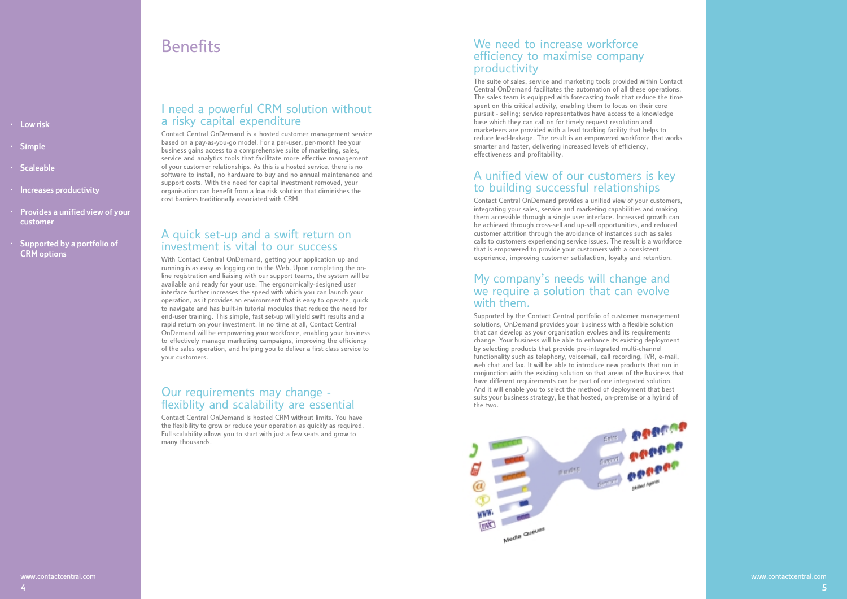# **Benefits**

- · Low risk
- · Simple
- · Scaleable
- · Increases productivity
- · Provides a unified view of your customer
- Supported by a portfolio of CRM options

### I need a powerful CRM solution without a risky capital expenditure

Contact Central OnDemand is a hosted customer management service based on a pay-as-you-go model. For a per-user, per-month fee your business gains access to a comprehensive suite of marketing, sales, service and analytics tools that facilitate more effective management of your customer relationships. As this is a hosted service, there is no software to install, no hardware to buy and no annual maintenance and support costs. With the need for capital investment removed, your organisation can benefit from a low risk solution that diminishes the cost barriers traditionally associated with CRM.

### A quick set-up and a swift return on investment is vital to our success

With Contact Central OnDemand, getting your application up and running is as easy as logging on to the Web. Upon completing the online registration and liaising with our support teams, the system will be available and ready for your use. The ergonomically-designed user interface further increases the speed with which you can launch your operation, as it provides an environment that is easy to operate, quick to navigate and has built-in tutorial modules that reduce the need for end-user training. This simple, fast set-up will yield swift results and a rapid return on your investment. In no time at all, Contact Central OnDemand will be empowering your workforce, enabling your business to effectively manage marketing campaigns, improving the efficiency of the sales operation, and helping you to deliver a first class service to your customers.

### Our requirements may change flexiblity and scalability are essential

Contact Central OnDemand is hosted CRM without limits. You have the flexibility to grow or reduce your operation as quickly as required. Full scalability allows you to start with just a few seats and grow to many thousands.

### We need to increase workforce efficiency to maximise company productivity

The suite of sales, service and marketing tools provided within Contact Central OnDemand facilitates the automation of all these operations. The sales team is equipped with forecasting tools that reduce the time spent on this critical activity, enabling them to focus on their core pursuit - selling; service representatives have access to a knowledge base which they can call on for timely request resolution and marketeers are provided with a lead tracking facility that helps to reduce lead-leakage. The result is an empowered workforce that works smarter and faster, delivering increased levels of efficiency, effectiveness and profitability.

### A unified view of our customers is key to building successful relationships

Contact Central OnDemand provides a unified view of your customers, integrating your sales, service and marketing capabilities and making them accessible through a single user interface. Increased growth can be achieved through cross-sell and up-sell opportunities, and reduced customer attrition through the avoidance of instances such as sales calls to customers experiencing service issues. The result is a workforce that is empowered to provide your customers with a consistent experience, improving customer satisfaction, loyalty and retention.

### My company's needs will change and we require a solution that can evolve with them.

Supported by the Contact Central portfolio of customer management solutions, OnDemand provides your business with a flexible solution that can develop as your organisation evolves and its requirements change. Your business will be able to enhance its existing deployment by selecting products that provide pre-integrated multi-channel functionality such as telephony, voicemail, call recording, IVR, e-mail, web chat and fax. It will be able to introduce new products that run in conjunction with the existing solution so that areas of the business that have different requirements can be part of one integrated solution. And it will enable you to select the method of deployment that best suits your business strategy, be that hosted, on-premise or a hybrid of the two.



5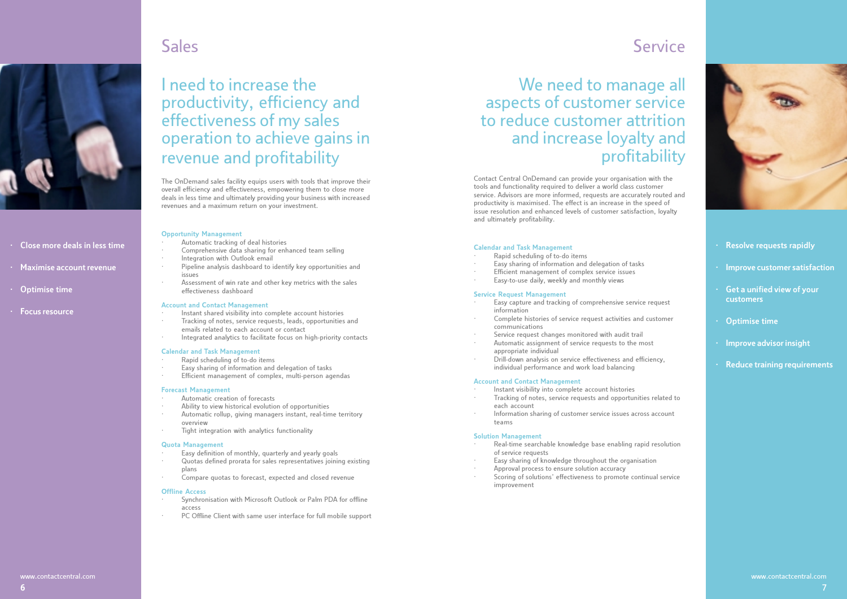# Sales



- · Close more deals in less time
- · Maximise account revenue
- · Optimise time
- · Focus resource

# I need to increase the productivity, efficiency and effectiveness of my sales operation to achieve gains in revenue and profitability

The OnDemand sales facility equips users with tools that improve their overall efficiency and effectiveness, empowering them to close more deals in less time and ultimately providing your business with increased revenues and a maximum return on your investment.

#### Opportunity Management

- Automatic tracking of deal histories
- Comprehensive data sharing for enhanced team selling
- Integration with Outlook email
- Pipeline analysis dashboard to identify key opportunities and issues
- Assessment of win rate and other key metrics with the sales effectiveness dashboard

#### Account and Contact Management

- Instant shared visibility into complete account histories
- · Tracking of notes, service requests, leads, opportunities and emails related to each account or contact
- Integrated analytics to facilitate focus on high-priority contacts

#### Calendar and Task Management

- Rapid scheduling of to-do items
- Easy sharing of information and delegation of tasks
- Efficient management of complex, multi-person agendas

#### Forecast Management

- Automatic creation of forecasts
- Ability to view historical evolution of opportunities
- Automatic rollup, giving managers instant, real-time territory overview
- Tight integration with analytics functionality

#### Quota Management

- Easy definition of monthly, quarterly and yearly goals
- · Quotas defined prorata for sales representatives joining existing plans
- Compare quotas to forecast, expected and closed revenue

#### Offline Access

- Synchronisation with Microsoft Outlook or Palm PDA for offline access
- PC Offline Client with same user interface for full mobile support

## Service

We need to manage all aspects of customer service to reduce customer attrition and increase loyalty and profitability

Contact Central OnDemand can provide your organisation with the tools and functionality required to deliver a world class customer service. Advisors are more informed, requests are accurately routed and productivity is maximised. The effect is an increase in the speed of issue resolution and enhanced levels of customer satisfaction, loyalty and ultimately profitability.

#### Calendar and Task Management

- Rapid scheduling of to-do items
- Easy sharing of information and delegation of tasks
- Efficient management of complex service issues
- Easy-to-use daily, weekly and monthly views

#### Service Request Management

- Easy capture and tracking of comprehensive service request information
- Complete histories of service request activities and customer communications
- Service request changes monitored with audit trail
- Automatic assignment of service requests to the most appropriate individual
- · Drill-down analysis on service effectiveness and efficiency, individual performance and work load balancing

#### Account and Contact Management

- Instant visibility into complete account histories
- Tracking of notes, service requests and opportunities related to each account
- Information sharing of customer service issues across account teams

#### Solution Management

- Real-time searchable knowledge base enabling rapid resolution of service requests
- Easy sharing of knowledge throughout the organisation
- Approval process to ensure solution accuracy
- Scoring of solutions' effectiveness to promote continual service improvement



- Resolve requests rapidly
- · Improve customer satisfaction
- Get a unified view of your customers
- Optimise time
- Improve advisor insight
- Reduce training requirements

www.contactcentral.com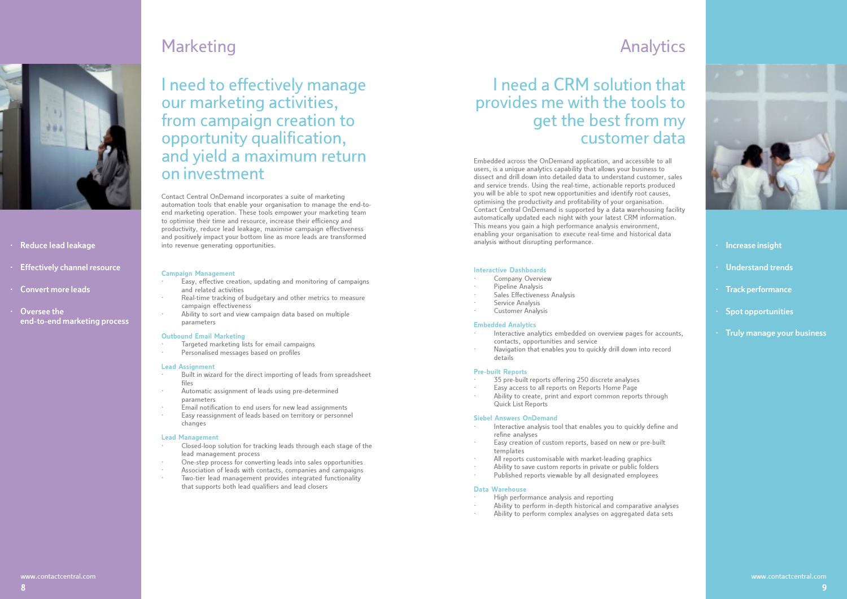

#### · Reduce lead leakage

- · Effectively channel resource
- · Convert more leads
- Oversee the end-to-end marketing process

# Marketing

## I need to effectively manage our marketing activities, from campaign creation to opportunity qualification, and yield a maximum return on investment

Contact Central OnDemand incorporates a suite of marketing automation tools that enable your organisation to manage the end-toend marketing operation. These tools empower your marketing team to optimise their time and resource, increase their efficiency and productivity, reduce lead leakage, maximise campaign effectiveness and positively impact your bottom line as more leads are transformed into revenue generating opportunities.

#### Campaign Management

- Easy, effective creation, updating and monitoring of campaigns and related activities
- Real-time tracking of budgetary and other metrics to measure campaign effectiveness
- Ability to sort and view campaign data based on multiple parameters

#### Outbound Email Marketing

- Targeted marketing lists for email campaigns
- Personalised messages based on profiles

#### Lead Assignment

- Built in wizard for the direct importing of leads from spreadsheet files
- Automatic assignment of leads using pre-determined parameters
- · Email notification to end users for new lead assignments
- Easy reassignment of leads based on territory or personnel changes

#### Lead Management

- Closed-loop solution for tracking leads through each stage of the lead management process
- · One-step process for converting leads into sales opportunities
- Association of leads with contacts, companies and campaigns
- Two-tier lead management provides integrated functionality that supports both lead qualifiers and lead closers

## Analytics

# I need a CRM solution that provides me with the tools to get the best from my customer data

Embedded across the OnDemand application, and accessible to all users, is a unique analytics capability that allows your business to dissect and drill down into detailed data to understand customer, sales and service trends. Using the real-time, actionable reports produced you will be able to spot new opportunities and identify root causes, optimising the productivity and profitability of your organisation. Contact Central OnDemand is supported by a data warehousing facility automatically updated each night with your latest CRM information. This means you gain a high performance analysis environment, enabling your organisation to execute real-time and historical data analysis without disrupting performance.

#### Interactive Dashboards

- Company Overview
- Pipeline Analysis
- Sales Effectiveness Analysis
- Service Analysis
- · Customer Analysis

#### Embedded Analytics

- Interactive analytics embedded on overview pages for accounts, contacts, opportunities and service
- Navigation that enables you to quickly drill down into record details

#### Pre-built Reports

- 35 pre-built reports offering 250 discrete analyses
- Easy access to all reports on Reports Home Page
- Ability to create, print and export common reports through Quick List Reports

#### Siebel Answers OnDemand

- Interactive analysis tool that enables you to quickly define and refine analyses
- Easy creation of custom reports, based on new or pre-built templates
- All reports customisable with market-leading graphics
- Ability to save custom reports in private or public folders
- Published reports viewable by all designated employees

#### Data Warehouse

- · High performance analysis and reporting
- Ability to perform in-depth historical and comparative analyses
- Ability to perform complex analyses on aggregated data sets

8



· Increase insight

· Understand trends

· Track performance

Spot opportunities

· Truly manage your business